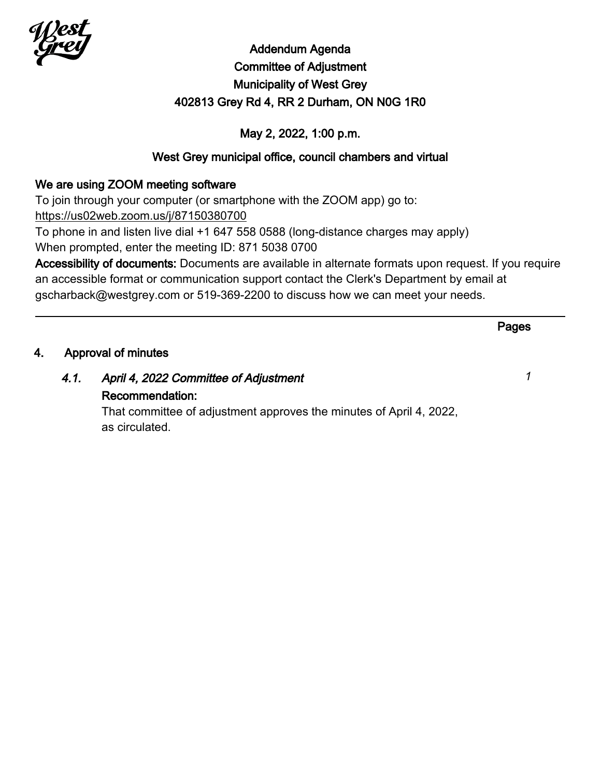

# Addendum Agenda Committee of Adjustment Municipality of West Grey 402813 Grey Rd 4, RR 2 Durham, ON N0G 1R0

# May 2, 2022, 1:00 p.m.

# West Grey municipal office, council chambers and virtual

# We are using ZOOM meeting software

To join through your computer (or smartphone with the ZOOM app) go to: <https://us02web.zoom.us/j/87150380700>

To phone in and listen live dial +1 647 558 0588 (long-distance charges may apply) When prompted, enter the meeting ID: 871 5038 0700

Accessibility of documents: Documents are available in alternate formats upon request. If you require an accessible format or communication support contact the Clerk's Department by email at gscharback@westgrey.com or 519-369-2200 to discuss how we can meet your needs.

|    |                     |                                                                     | Pages |
|----|---------------------|---------------------------------------------------------------------|-------|
| 4. | Approval of minutes |                                                                     |       |
|    | 4.1.                | April 4, 2022 Committee of Adjustment                               |       |
|    |                     | Recommendation:                                                     |       |
|    |                     | That committee of adjustment approves the minutes of April 4, 2022, |       |
|    |                     | as circulated.                                                      |       |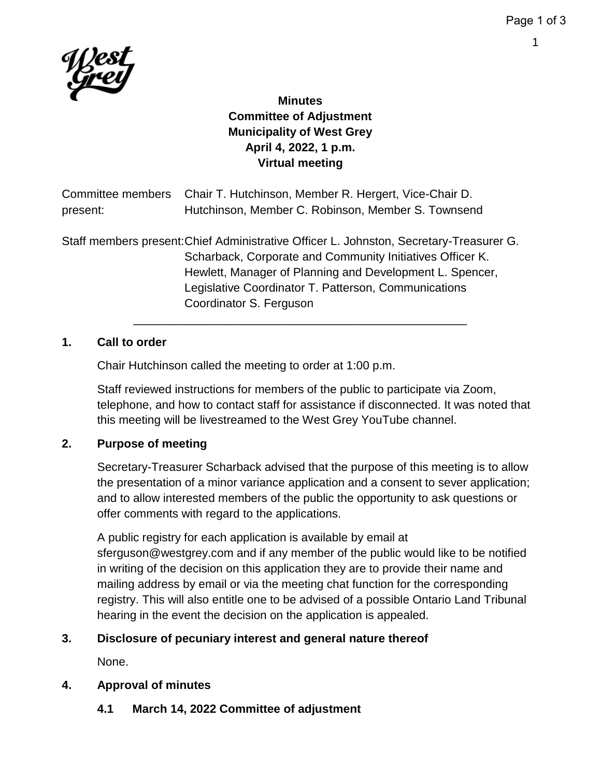1



# **Minutes Committee of Adjustment Municipality of West Grey April 4, 2022, 1 p.m. Virtual meeting**

|          | Committee members Chair T. Hutchinson, Member R. Hergert, Vice-Chair D.                 |
|----------|-----------------------------------------------------------------------------------------|
| present: | Hutchinson, Member C. Robinson, Member S. Townsend                                      |
|          | Staff members present: Chief Administrative Officer L. Johnston, Secretary-Treasurer G. |
|          | Scharback, Corporate and Community Initiatives Officer K.                               |
|          | Hewlett, Manager of Planning and Development L. Spencer,                                |
|          | Legislative Coordinator T. Patterson, Communications                                    |

## **1. Call to order**

Chair Hutchinson called the meeting to order at 1:00 p.m.

Coordinator S. Ferguson

Staff reviewed instructions for members of the public to participate via Zoom, telephone, and how to contact staff for assistance if disconnected. It was noted that this meeting will be livestreamed to the West Grey YouTube channel.

\_\_\_\_\_\_\_\_\_\_\_\_\_\_\_\_\_\_\_\_\_\_\_\_\_\_\_\_\_\_\_\_\_\_\_\_\_\_\_\_\_\_\_\_\_\_\_\_\_\_\_

# **2. Purpose of meeting**

Secretary-Treasurer Scharback advised that the purpose of this meeting is to allow the presentation of a minor variance application and a consent to sever application; and to allow interested members of the public the opportunity to ask questions or offer comments with regard to the applications.

A public registry for each application is available by email at sferguson@westgrey.com and if any member of the public would like to be notified in writing of the decision on this application they are to provide their name and mailing address by email or via the meeting chat function for the corresponding registry. This will also entitle one to be advised of a possible Ontario Land Tribunal hearing in the event the decision on the application is appealed.

# **3. Disclosure of pecuniary interest and general nature thereof**

None.

# **4. Approval of minutes**

**4.1 March 14, 2022 Committee of adjustment**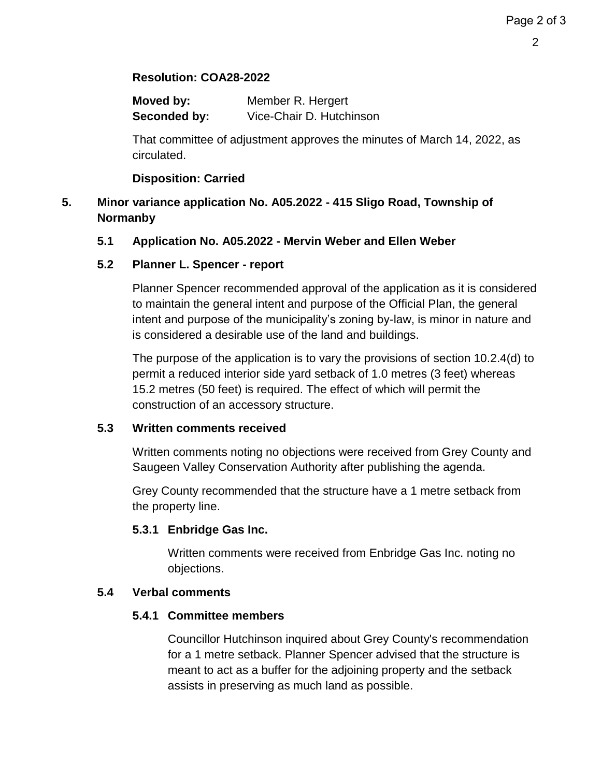# **Resolution: COA28-2022**

| Moved by:    | Member R. Hergert        |
|--------------|--------------------------|
| Seconded by: | Vice-Chair D. Hutchinson |

That committee of adjustment approves the minutes of March 14, 2022, as circulated.

### **Disposition: Carried**

# **5. Minor variance application No. A05.2022 - 415 Sligo Road, Township of Normanby**

### **5.1 Application No. A05.2022 - Mervin Weber and Ellen Weber**

## **5.2 Planner L. Spencer - report**

Planner Spencer recommended approval of the application as it is considered to maintain the general intent and purpose of the Official Plan, the general intent and purpose of the municipality's zoning by-law, is minor in nature and is considered a desirable use of the land and buildings.

The purpose of the application is to vary the provisions of section 10.2.4(d) to permit a reduced interior side yard setback of 1.0 metres (3 feet) whereas 15.2 metres (50 feet) is required. The effect of which will permit the construction of an accessory structure.

#### **5.3 Written comments received**

Written comments noting no objections were received from Grey County and Saugeen Valley Conservation Authority after publishing the agenda.

Grey County recommended that the structure have a 1 metre setback from the property line.

### **5.3.1 Enbridge Gas Inc.**

Written comments were received from Enbridge Gas Inc. noting no objections.

### **5.4 Verbal comments**

### **5.4.1 Committee members**

Councillor Hutchinson inquired about Grey County's recommendation for a 1 metre setback. Planner Spencer advised that the structure is meant to act as a buffer for the adjoining property and the setback assists in preserving as much land as possible.